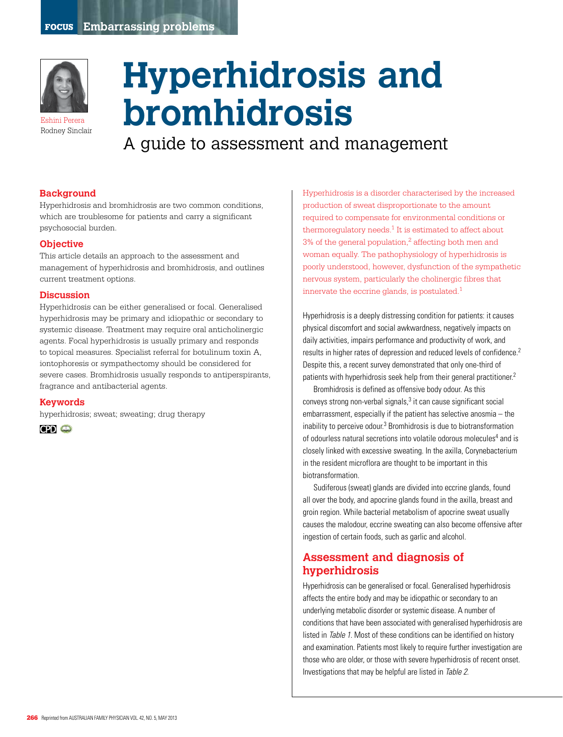

Eshini Perera Rodney Sinclair

# **Hyperhidrosis and bromhidrosis**

A guide to assessment and management

#### **Background**

Hyperhidrosis and bromhidrosis are two common conditions, which are troublesome for patients and carry a significant psychosocial burden.

#### **Objective**

This article details an approach to the assessment and management of hyperhidrosis and bromhidrosis, and outlines current treatment options.

#### **Discussion**

Hyperhidrosis can be either generalised or focal. Generalised hyperhidrosis may be primary and idiopathic or secondary to systemic disease. Treatment may require oral anticholinergic agents. Focal hyperhidrosis is usually primary and responds to topical measures. Specialist referral for botulinum toxin A, iontophoresis or sympathectomy should be considered for severe cases. Bromhidrosis usually responds to antiperspirants, fragrance and antibacterial agents.

#### **Keywords**

hyperhidrosis; sweat; sweating; drug therapy



Hyperhidrosis is a disorder characterised by the increased production of sweat disproportionate to the amount required to compensate for environmental conditions or thermoregulatory needs.<sup>1</sup> It is estimated to affect about  $3%$  of the general population,<sup>2</sup> affecting both men and woman equally. The pathophysiology of hyperhidrosis is poorly understood, however, dysfunction of the sympathetic nervous system, particularly the cholinergic fibres that innervate the eccrine glands, is postulated.1

Hyperhidrosis is a deeply distressing condition for patients: it causes physical discomfort and social awkwardness, negatively impacts on daily activities, impairs performance and productivity of work, and results in higher rates of depression and reduced levels of confidence.2 Despite this, a recent survey demonstrated that only one-third of patients with hyperhidrosis seek help from their general practitioner.<sup>2</sup>

Bromhidrosis is defined as offensive body odour. As this conveys strong non-verbal signals,<sup>3</sup> it can cause significant social embarrassment, especially if the patient has selective anosmia – the inability to perceive odour.<sup>3</sup> Bromhidrosis is due to biotransformation of odourless natural secretions into volatile odorous molecules<sup>4</sup> and is closely linked with excessive sweating. In the axilla, Corynebacterium in the resident microflora are thought to be important in this biotransformation.

Sudiferous (sweat) glands are divided into eccrine glands, found all over the body, and apocrine glands found in the axilla, breast and groin region. While bacterial metabolism of apocrine sweat usually causes the malodour, eccrine sweating can also become offensive after ingestion of certain foods, such as garlic and alcohol.

# **Assessment and diagnosis of hyperhidrosis**

Hyperhidrosis can be generalised or focal. Generalised hyperhidrosis affects the entire body and may be idiopathic or secondary to an underlying metabolic disorder or systemic disease. A number of conditions that have been associated with generalised hyperhidrosis are listed in Table 1. Most of these conditions can be identified on history and examination. Patients most likely to require further investigation are those who are older, or those with severe hyperhidrosis of recent onset. Investigations that may be helpful are listed in Table 2.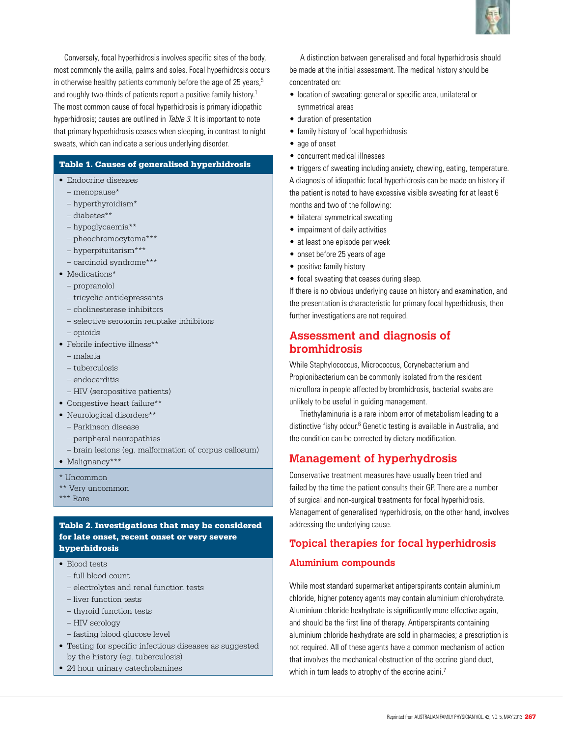Conversely, focal hyperhidrosis involves specific sites of the body, most commonly the axilla, palms and soles. Focal hyperhidrosis occurs in otherwise healthy patients commonly before the age of 25 years, $5$ and roughly two-thirds of patients report a positive family history.<sup>1</sup> The most common cause of focal hyperhidrosis is primary idiopathic hyperhidrosis; causes are outlined in Table 3. It is important to note that primary hyperhidrosis ceases when sleeping, in contrast to night sweats, which can indicate a serious underlying disorder.

#### Table 1. Causes of generalised hyperhidrosis

- • Endocrine diseases
	- menopause\*
	- hyperthyroidism\*
	- diabetes\*\*
	- hypoglycaemia\*\*
	- pheochromocytoma\*\*\*
	- hyperpituitarism\*\*\*
	- carcinoid syndrome\*\*\*
- Medications\*
	- propranolol
	- tricyclic antidepressants
	- cholinesterase inhibitors
	- selective serotonin reuptake inhibitors
	- opioids
- Febrile infective illness\*\*
	- malaria
	- tuberculosis
	- endocarditis
	- HIV (seropositive patients)
- Congestive heart failure\*\*
- • Neurological disorders\*\*
	- Parkinson disease
	- peripheral neuropathies
	- brain lesions (eg. malformation of corpus callosum)
- Malignancy\*\*\*
- \* Uncommon
- \*\* Very uncommon
- \*\*\* Rare

### Table 2. Investigations that may be considered for late onset, recent onset or very severe hyperhidrosis

- Blood tests
	- full blood count
	- electrolytes and renal function tests
	- liver function tests
	- thyroid function tests
	- HIV serology
	- fasting blood glucose level
- • Testing for specific infectious diseases as suggested by the history (eg. tuberculosis)
- 24 hour urinary catecholamines



A distinction between generalised and focal hyperhidrosis should be made at the initial assessment. The medical history should be concentrated on:

- location of sweating: general or specific area, unilateral or symmetrical areas
- • duration of presentation
- family history of focal hyperhidrosis
- age of onset
- • concurrent medical illnesses
- triggers of sweating including anxiety, chewing, eating, temperature.

A diagnosis of idiopathic focal hyperhidrosis can be made on history if the patient is noted to have excessive visible sweating for at least 6 months and two of the following:

- bilateral symmetrical sweating
- impairment of daily activities
- at least one episode per week
- onset before 25 years of age
- positive family history
- focal sweating that ceases during sleep.

If there is no obvious underlying cause on history and examination, and the presentation is characteristic for primary focal hyperhidrosis, then further investigations are not required.

## **Assessment and diagnosis of bromhidrosis**

While Staphylococcus, Micrococcus, Corynebacterium and Propionibacterium can be commonly isolated from the resident microflora in people affected by bromhidrosis, bacterial swabs are unlikely to be useful in guiding management.

Triethylaminuria is a rare inborn error of metabolism leading to a distinctive fishy odour.<sup>6</sup> Genetic testing is available in Australia, and the condition can be corrected by dietary modification.

# **Management of hyperhydrosis**

Conservative treatment measures have usually been tried and failed by the time the patient consults their GP. There are a number of surgical and non-surgical treatments for focal hyperhidrosis. Management of generalised hyperhidrosis, on the other hand, involves addressing the underlying cause.

## **Topical therapies for focal hyperhidrosis**

## **Aluminium compounds**

While most standard supermarket antiperspirants contain aluminium chloride, higher potency agents may contain aluminium chlorohydrate. Aluminium chloride hexhydrate is significantly more effective again, and should be the first line of therapy. Antiperspirants containing aluminium chloride hexhydrate are sold in pharmacies; a prescription is not required. All of these agents have a common mechanism of action that involves the mechanical obstruction of the eccrine gland duct, which in turn leads to atrophy of the eccrine acini.<sup>7</sup>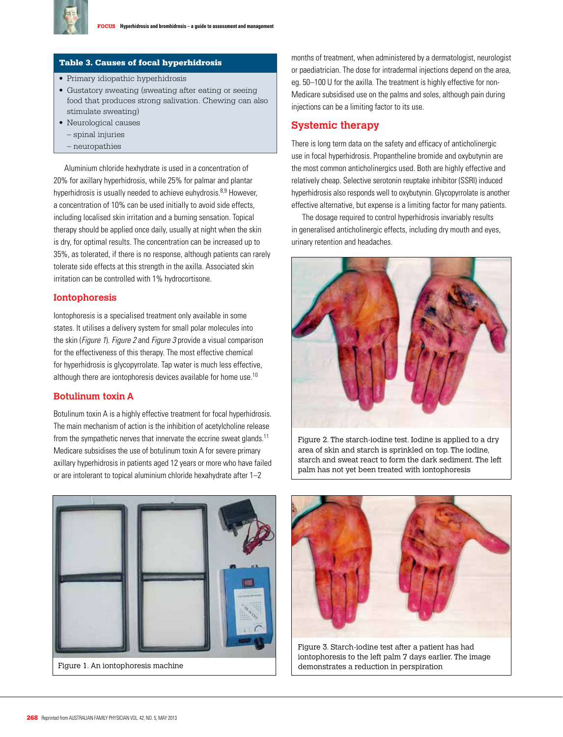

#### Table 3. Causes of focal hyperhidrosis

- Primary idiopathic hyperhidrosis
- Gustatory sweating (sweating after eating or seeing food that produces strong salivation. Chewing can also stimulate sweating)
- Neurological causes – spinal injuries
	- neuropathies

Aluminium chloride hexhydrate is used in a concentration of 20% for axillary hyperhidrosis, while 25% for palmar and plantar hyperhidrosis is usually needed to achieve euhydrosis.<sup>8,9</sup> However, a concentration of 10% can be used initially to avoid side effects, including localised skin irritation and a burning sensation. Topical therapy should be applied once daily, usually at night when the skin is dry, for optimal results. The concentration can be increased up to 35%, as tolerated, if there is no response, although patients can rarely tolerate side effects at this strength in the axilla. Associated skin irritation can be controlled with 1% hydrocortisone.

#### **Iontophoresis**

Iontophoresis is a specialised treatment only available in some states. It utilises a delivery system for small polar molecules into the skin (Figure 1). Figure 2 and Figure 3 provide a visual comparison for the effectiveness of this therapy. The most effective chemical for hyperhidrosis is glycopyrrolate. Tap water is much less effective, although there are iontophoresis devices available for home use.<sup>10</sup>

## **Botulinum toxin A**

Botulinum toxin A is a highly effective treatment for focal hyperhidrosis. The main mechanism of action is the inhibition of acetylcholine release from the sympathetic nerves that innervate the eccrine sweat glands.<sup>11</sup> Medicare subsidises the use of botulinum toxin A for severe primary axillary hyperhidrosis in patients aged 12 years or more who have failed or are intolerant to topical aluminium chloride hexahydrate after 1–2

months of treatment, when administered by a dermatologist, neurologist or paediatrician. The dose for intradermal injections depend on the area, eg. 50–100 U for the axilla. The treatment is highly effective for non-Medicare subsidised use on the palms and soles, although pain during injections can be a limiting factor to its use.

## **Systemic therapy**

There is long term data on the safety and efficacy of anticholinergic use in focal hyperhidrosis. Propantheline bromide and oxybutynin are the most common anticholinergics used. Both are highly effective and relatively cheap. Selective serotonin reuptake inhibitor (SSRI) induced hyperhidrosis also responds well to oxybutynin. Glycopyrrolate is another effective alternative, but expense is a limiting factor for many patients.

The dosage required to control hyperhidrosis invariably results in generalised anticholinergic effects, including dry mouth and eyes, urinary retention and headaches.



Figure 2. The starch-iodine test. Iodine is applied to a dry area of skin and starch is sprinkled on top. The iodine, starch and sweat react to form the dark sediment. The left palm has not yet been treated with iontophoresis



Figure 1. An iontophoresis machine



Figure 3. Starch-iodine test after a patient has had iontophoresis to the left palm 7 days earlier. The image demonstrates a reduction in perspiration